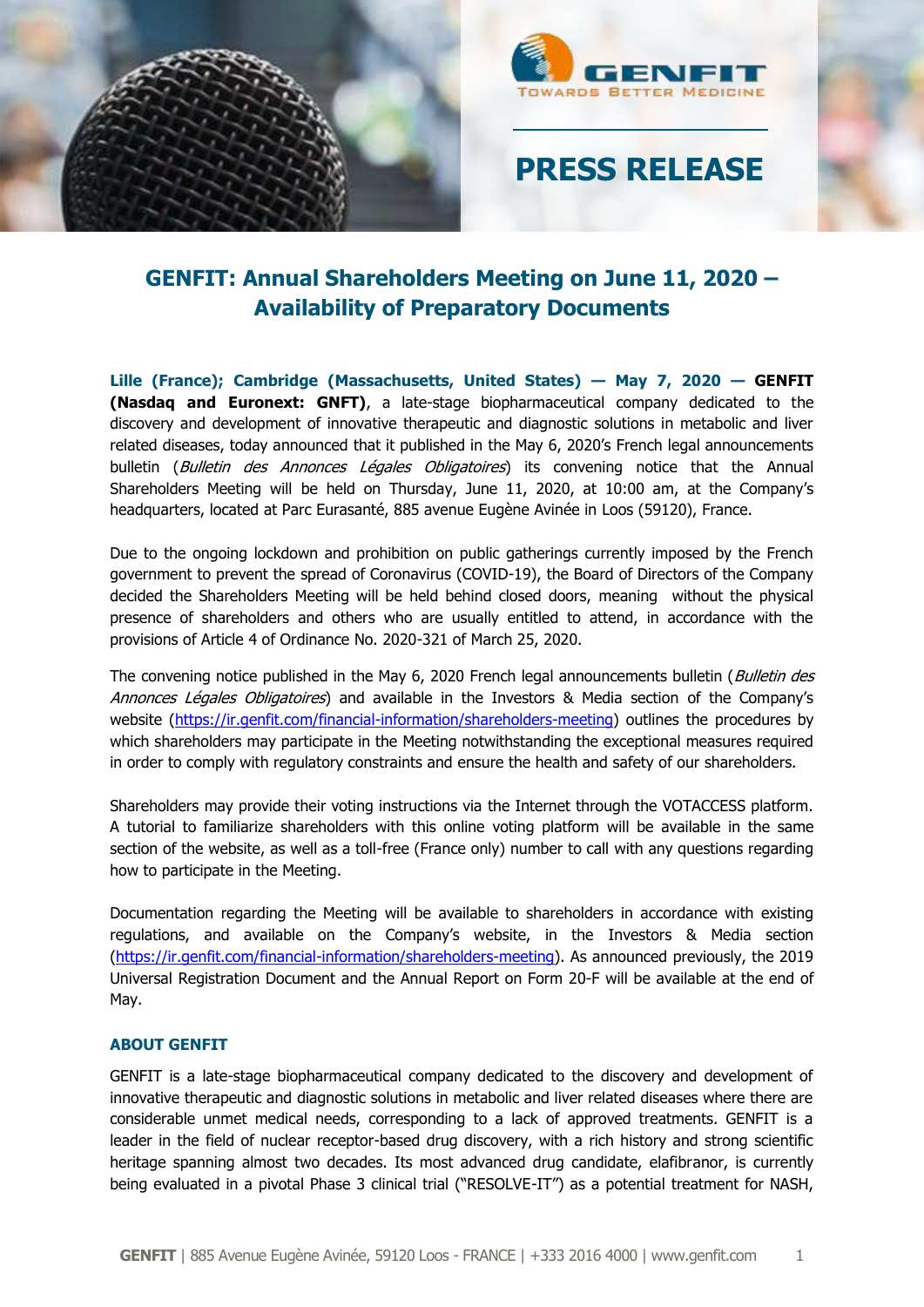



# **PRESS RELEASE**

## **GENFIT: Annual Shareholders Meeting on June 11, 2020 – Availability of Preparatory Documents**

**Lille (France); Cambridge (Massachusetts, United States) — May 7, 2020 — GENFIT (Nasdaq and Euronext: GNFT)**, a late-stage biopharmaceutical company dedicated to the discovery and development of innovative therapeutic and diagnostic solutions in metabolic and liver related diseases, today announced that it published in the May 6, 2020's French legal announcements bulletin (Bulletin des Annonces Légales Obligatoires) its convening notice that the Annual Shareholders Meeting will be held on Thursday, June 11, 2020, at 10:00 am, at the Company's headquarters, located at Parc Eurasanté, 885 avenue Eugène Avinée in Loos (59120), France.

Due to the ongoing lockdown and prohibition on public gatherings currently imposed by the French government to prevent the spread of Coronavirus (COVID-19), the Board of Directors of the Company decided the Shareholders Meeting will be held behind closed doors, meaning without the physical presence of shareholders and others who are usually entitled to attend, in accordance with the provisions of Article 4 of Ordinance No. 2020-321 of March 25, 2020.

The convening notice published in the May 6, 2020 French legal announcements bulletin (Bulletin des Annonces Légales Obligatoires) and available in the Investors & Media section of the Company's website [\(https://ir.genfit.com/financial-information/shareholders-meeting\)](https://ir.genfit.com/financial-information/shareholders-meeting) outlines the procedures by which shareholders may participate in the Meeting notwithstanding the exceptional measures required in order to comply with regulatory constraints and ensure the health and safety of our shareholders.

Shareholders may provide their voting instructions via the Internet through the VOTACCESS platform. A tutorial to familiarize shareholders with this online voting platform will be available in the same section of the website, as well as a toll-free (France only) number to call with any questions regarding how to participate in the Meeting.

Documentation regarding the Meeting will be available to shareholders in accordance with existing regulations, and available on the Company's website, in the Investors & Media section [\(https://ir.genfit.com/financial-information/shareholders-meeting\)](https://ir.genfit.com/financial-information/shareholders-meeting). As announced previously, the 2019 Universal Registration Document and the Annual Report on Form 20-F will be available at the end of May.

### **ABOUT GENFIT**

GENFIT is a late-stage biopharmaceutical company dedicated to the discovery and development of innovative therapeutic and diagnostic solutions in metabolic and liver related diseases where there are considerable unmet medical needs, corresponding to a lack of approved treatments. GENFIT is a leader in the field of nuclear receptor-based drug discovery, with a rich history and strong scientific heritage spanning almost two decades. Its most advanced drug candidate, elafibranor, is currently being evaluated in a pivotal Phase 3 clinical trial ("RESOLVE-IT") as a potential treatment for NASH,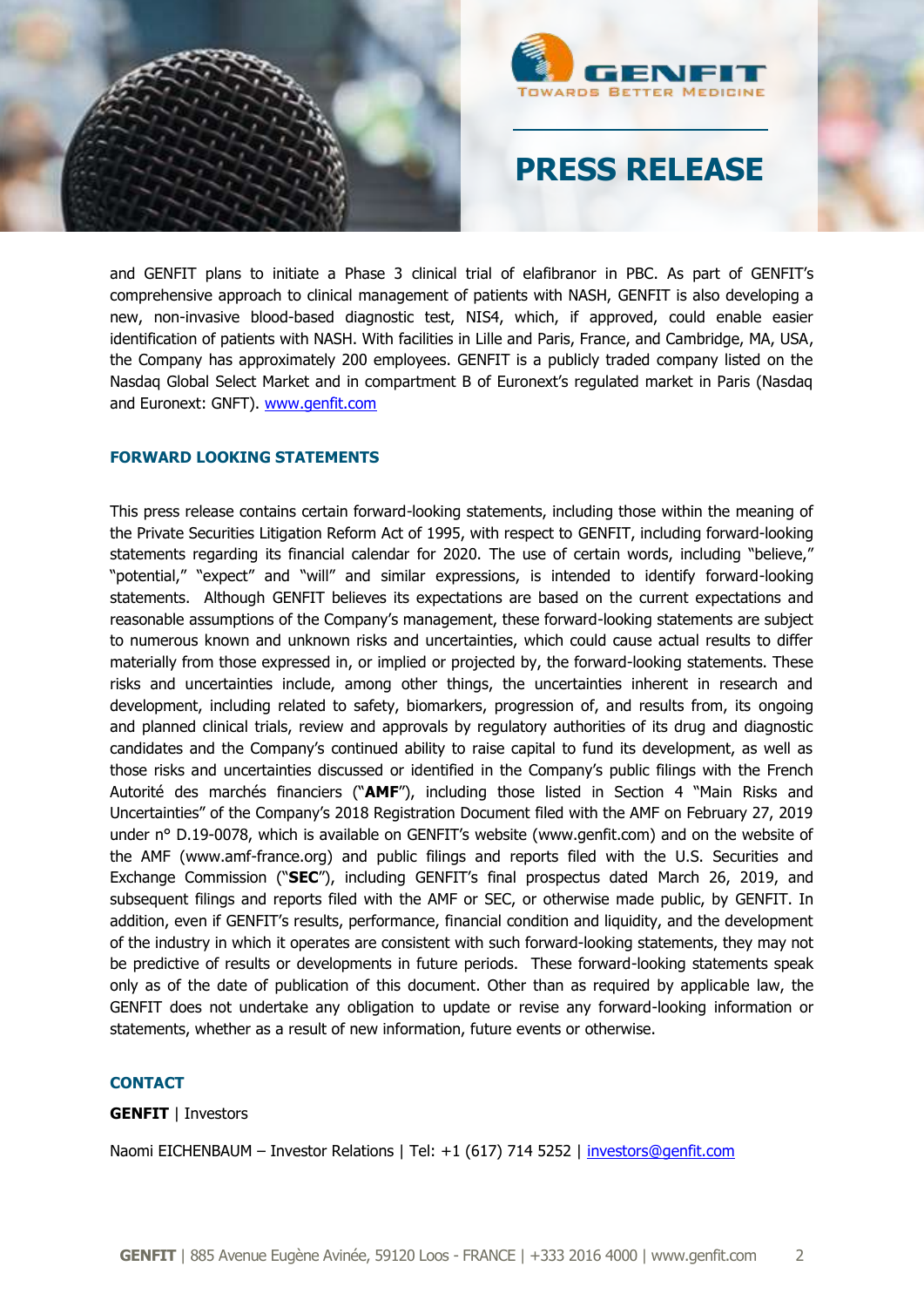



# **PRESS RELEASE**

and GENFIT plans to initiate a Phase 3 clinical trial of elafibranor in PBC. As part of GENFIT's comprehensive approach to clinical management of patients with NASH, GENFIT is also developing a new, non-invasive blood-based diagnostic test, NIS4, which, if approved, could enable easier identification of patients with NASH. With facilities in Lille and Paris, France, and Cambridge, MA, USA, the Company has approximately 200 employees. GENFIT is a publicly traded company listed on the Nasdaq Global Select Market and in compartment B of Euronext's regulated market in Paris (Nasdaq and Euronext: GNFT). [www.genfit.com](http://www.genfit.com/)

### **FORWARD LOOKING STATEMENTS**

This press release contains certain forward-looking statements, including those within the meaning of the Private Securities Litigation Reform Act of 1995, with respect to GENFIT, including forward-looking statements regarding its financial calendar for 2020. The use of certain words, including "believe," "potential," "expect" and "will" and similar expressions, is intended to identify forward-looking statements. Although GENFIT believes its expectations are based on the current expectations and reasonable assumptions of the Company's management, these forward-looking statements are subject to numerous known and unknown risks and uncertainties, which could cause actual results to differ materially from those expressed in, or implied or projected by, the forward-looking statements. These risks and uncertainties include, among other things, the uncertainties inherent in research and development, including related to safety, biomarkers, progression of, and results from, its ongoing and planned clinical trials, review and approvals by regulatory authorities of its drug and diagnostic candidates and the Company's continued ability to raise capital to fund its development, as well as those risks and uncertainties discussed or identified in the Company's public filings with the French Autorité des marchés financiers ("**AMF**"), including those listed in Section 4 "Main Risks and Uncertainties" of the Company's 2018 Registration Document filed with the AMF on February 27, 2019 under n° D.19-0078, which is available on GENFIT's website (www.genfit.com) and on the website of the AMF (www.amf-france.org) and public filings and reports filed with the U.S. Securities and Exchange Commission ("**SEC**"), including GENFIT's final prospectus dated March 26, 2019, and subsequent filings and reports filed with the AMF or SEC, or otherwise made public, by GENFIT. In addition, even if GENFIT's results, performance, financial condition and liquidity, and the development of the industry in which it operates are consistent with such forward-looking statements, they may not be predictive of results or developments in future periods. These forward-looking statements speak only as of the date of publication of this document. Other than as required by applicable law, the GENFIT does not undertake any obligation to update or revise any forward-looking information or statements, whether as a result of new information, future events or otherwise.

#### **CONTACT**

#### **GENFIT** | Investors

Naomi EICHENBAUM - Investor Relations | Tel: +1 (617) 714 5252 | [investors@genfit.com](mailto:investors@genfit.com)